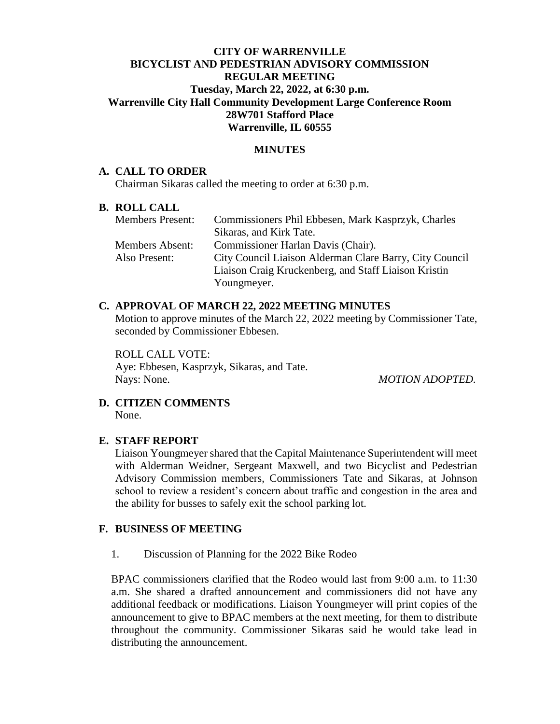# **CITY OF WARRENVILLE BICYCLIST AND PEDESTRIAN ADVISORY COMMISSION REGULAR MEETING Tuesday, March 22, 2022, at 6:30 p.m. Warrenville City Hall Community Development Large Conference Room 28W701 Stafford Place Warrenville, IL 60555**

### **MINUTES**

### **A. CALL TO ORDER**

Chairman Sikaras called the meeting to order at 6:30 p.m.

#### **B. ROLL CALL**

| <b>Members Present:</b> | Commissioners Phil Ebbesen, Mark Kasprzyk, Charles      |
|-------------------------|---------------------------------------------------------|
|                         | Sikaras, and Kirk Tate.                                 |
| <b>Members Absent:</b>  | Commissioner Harlan Davis (Chair).                      |
| Also Present:           | City Council Liaison Alderman Clare Barry, City Council |
|                         | Liaison Craig Kruckenberg, and Staff Liaison Kristin    |
|                         | Youngmeyer.                                             |

### **C. APPROVAL OF MARCH 22, 2022 MEETING MINUTES**

Motion to approve minutes of the March 22, 2022 meeting by Commissioner Tate, seconded by Commissioner Ebbesen.

ROLL CALL VOTE: Aye: Ebbesen, Kasprzyk, Sikaras, and Tate. Nays: None. *MOTION ADOPTED.*

#### **D. CITIZEN COMMENTS** None.

# **E. STAFF REPORT**

Liaison Youngmeyer shared that the Capital Maintenance Superintendent will meet with Alderman Weidner, Sergeant Maxwell, and two Bicyclist and Pedestrian Advisory Commission members, Commissioners Tate and Sikaras, at Johnson school to review a resident's concern about traffic and congestion in the area and the ability for busses to safely exit the school parking lot.

# **F. BUSINESS OF MEETING**

1. Discussion of Planning for the 2022 Bike Rodeo

BPAC commissioners clarified that the Rodeo would last from 9:00 a.m. to 11:30 a.m. She shared a drafted announcement and commissioners did not have any additional feedback or modifications. Liaison Youngmeyer will print copies of the announcement to give to BPAC members at the next meeting, for them to distribute throughout the community. Commissioner Sikaras said he would take lead in distributing the announcement.